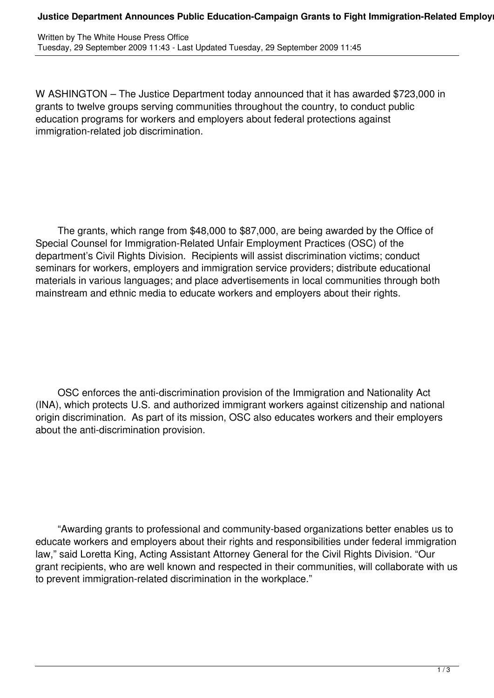## **Justice Department Announces Public Education-Campaign Grants to Fight Immigration-Related Employ**

W ASHINGTON – The Justice Department today announced that it has awarded \$723,000 in grants to twelve groups serving communities throughout the country, to conduct public education programs for workers and employers about federal protections against immigration-related job discrimination.

 The grants, which range from \$48,000 to \$87,000, are being awarded by the Office of Special Counsel for Immigration-Related Unfair Employment Practices (OSC) of the department's Civil Rights Division. Recipients will assist discrimination victims; conduct seminars for workers, employers and immigration service providers; distribute educational materials in various languages; and place advertisements in local communities through both mainstream and ethnic media to educate workers and employers about their rights.

 OSC enforces the anti-discrimination provision of the Immigration and Nationality Act (INA), which protects U.S. and authorized immigrant workers against citizenship and national origin discrimination. As part of its mission, OSC also educates workers and their employers about the anti-discrimination provision.

 "Awarding grants to professional and community-based organizations better enables us to educate workers and employers about their rights and responsibilities under federal immigration law," said Loretta King, Acting Assistant Attorney General for the Civil Rights Division. "Our grant recipients, who are well known and respected in their communities, will collaborate with us to prevent immigration-related discrimination in the workplace."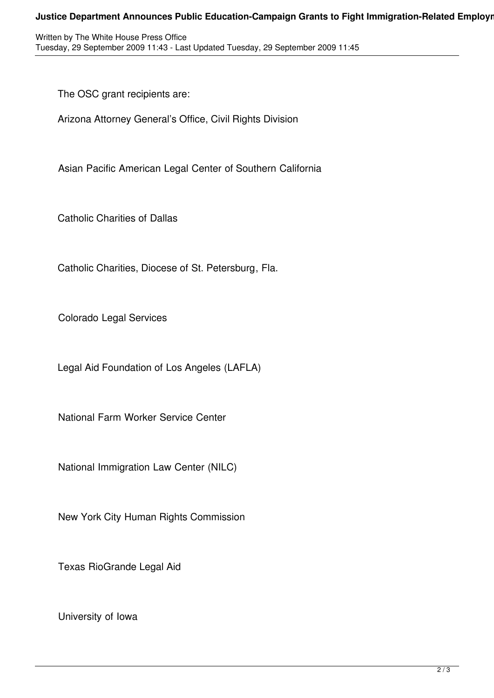## **Justice Department Announces Public Education-Campaign Grants to Fight Immigration-Related Employr**

Written by The White House Press Office Tuesday, 29 September 2009 11:43 - Last Updated Tuesday, 29 September 2009 11:45

The OSC grant recipients are:

Arizona Attorney General's Office, Civil Rights Division

Asian Pacific American Legal Center of Southern California

Catholic Charities of Dallas

Catholic Charities, Diocese of St. Petersburg, Fla.

Colorado Legal Services

Legal Aid Foundation of Los Angeles (LAFLA)

National Farm Worker Service Center

National Immigration Law Center (NILC)

New York City Human Rights Commission

Texas RioGrande Legal Aid

University of Iowa